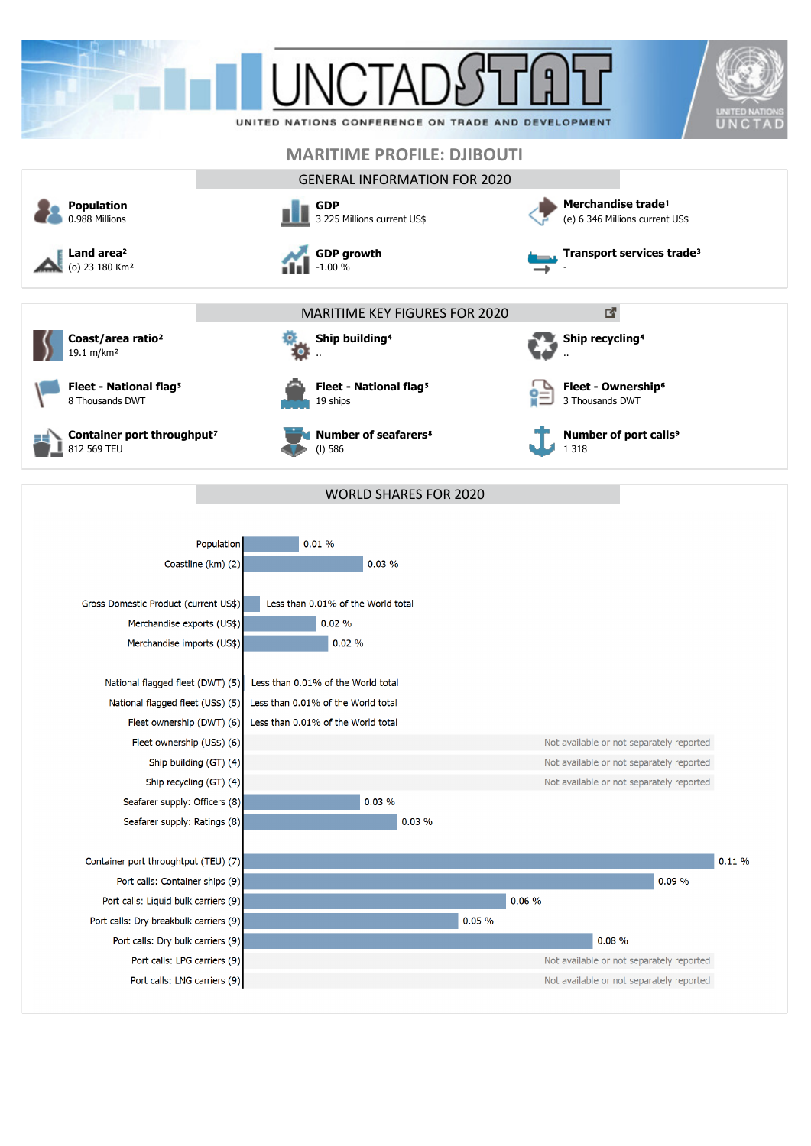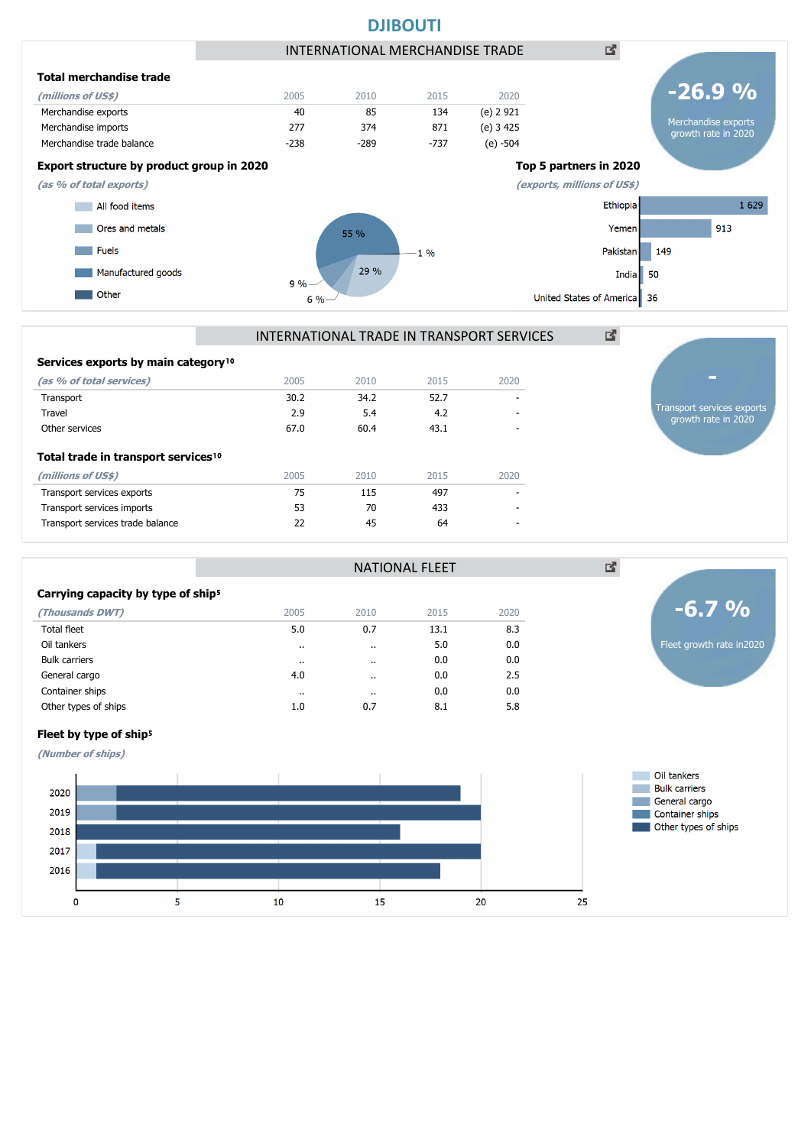

### **Total trade in transport services<sup>10</sup> (millions of US\$)** 2005 2010 2015 2020 Transport services exports and the control of the control of the control of the control of the control of the control of the control of the control of the control of the control of the control of the control of the control Transport services imports 1990 1991 1991 1991 1991 1991 1992 1994 1995 1996 1997 1998 1999 1999 1999 1999 199 Transport services trade balance 22 45 64 - Services exports by main category<sup>10</sup> **(as % of total services)** 2005 2010 2015 2020 Transport 30.2 34.2 52.7 - Travel 2.9 5.4 4.2 - Other services 67.0 60.4 43.1 - Transport services exports

|                                                |           | ⊠                    |      |      |  |
|------------------------------------------------|-----------|----------------------|------|------|--|
| Carrying capacity by type of ship <sup>5</sup> |           |                      |      |      |  |
| (Thousands DWT)                                | 2005      | 2010                 | 2015 | 2020 |  |
| <b>Total fleet</b>                             | 5.0       | 0.7                  | 13.1 | 8.3  |  |
| Oil tankers                                    | $\cdot$ . |                      | 5.0  | 0.0  |  |
| <b>Bulk carriers</b>                           | $\cdots$  | $\ddotsc$            | 0.0  | 0.0  |  |
| General cargo                                  | 4.0       | $\ddot{\phantom{a}}$ | 0.0  | 2.5  |  |
| Container ships                                | $\cdots$  |                      | 0.0  | 0.0  |  |
| Other types of ships                           | 1.0       | 0.7                  | 8.1  | 5.8  |  |

growth rate in 2020

**(Number of ships)**

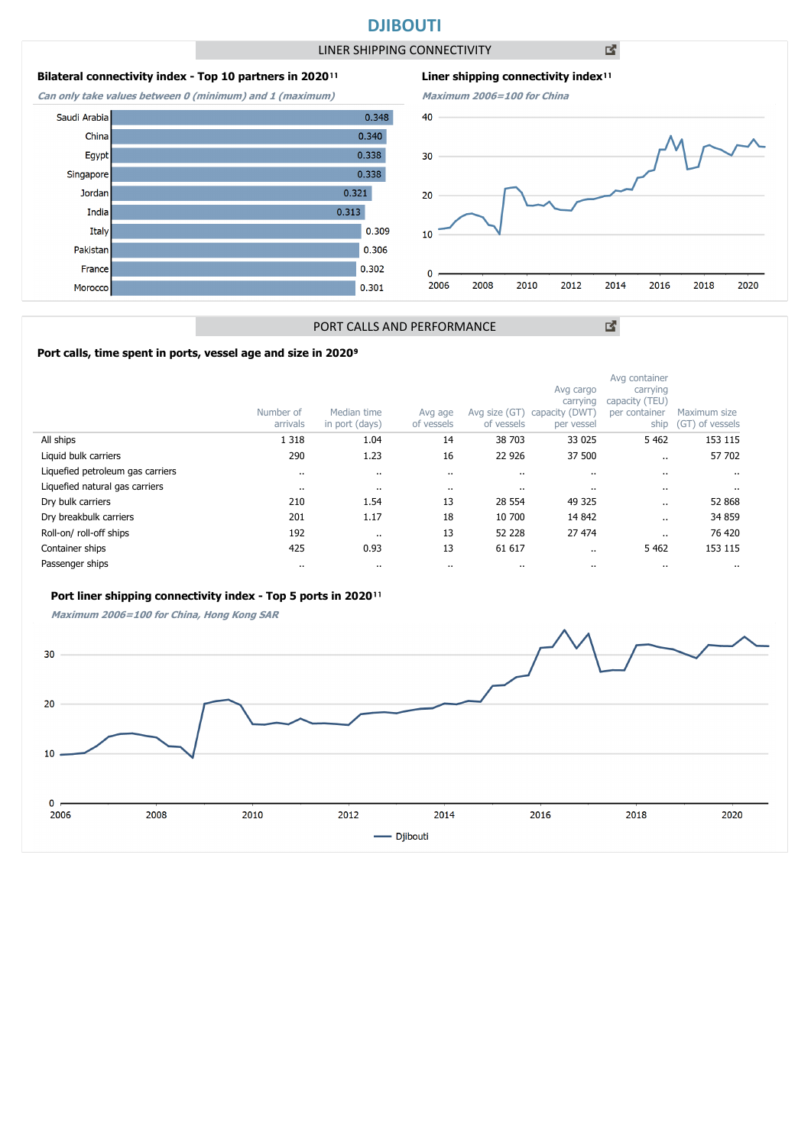### **DJIBOUTI**

LINER SHIPPING CONNECTIVITY

### **Bilateral connectivity index - Top 10 partners in 2020**<sup>11</sup>

**Can only take values between 0 (minimum) and 1 (maximum)**

Saudi Arabia

China

Egypt

India

Italy

Pakistar

France

Morocco

Singapore Jordan



**Maximum 2006=100 for China**  $0.348$ 40  $0.340$  $0.338$ 30  $0.338$ 20 0.309  $10$ 0.306 0.302  $\pmb{0}$  $0.301$ 2006 2008 2010 2012 2014 2016 2018 2020

凶

図

# PORT CALLS AND PERFORMANCE

 $0.321$ 

 $0.313$ 

### Port calls, time spent in ports, vessel age and size in 2020<sup>9</sup>

|                                  | Number of<br>arrivals | Median time<br>in port (days) | Avg age<br>of vessels | Avg size (GT)<br>of vessels | Avg cargo<br>carrying<br>capacity (DWT)<br>per vessel | Avg container<br>carrying<br>capacity (TEU)<br>per container<br>ship | Maximum size<br>(GT) of vessels |
|----------------------------------|-----------------------|-------------------------------|-----------------------|-----------------------------|-------------------------------------------------------|----------------------------------------------------------------------|---------------------------------|
| All ships                        | 1 3 1 8               | 1.04                          | 14                    | 38 703                      | 33 0 25                                               | 5 4 6 2                                                              | 153 115                         |
| Liquid bulk carriers             | 290                   | 1.23                          | 16                    | 22 9 26                     | 37 500                                                |                                                                      | 57 702                          |
| Liquefied petroleum gas carriers |                       | $\ddot{\phantom{a}}$          | $\cdot$               |                             | $\cdot$                                               |                                                                      |                                 |
| Liquefied natural gas carriers   |                       | $\cdots$                      |                       |                             | $\cdots$                                              |                                                                      | $\cdot$                         |
| Dry bulk carriers                | 210                   | 1.54                          | 13                    | 28 5 54                     | 49 325                                                | $\cdot$ .                                                            | 52 868                          |
| Dry breakbulk carriers           | 201                   | 1.17                          | 18                    | 10 700                      | 14 842                                                |                                                                      | 34 859                          |
| Roll-on/roll-off ships           | 192                   | $\ddot{\phantom{0}}$          | 13                    | 52 228                      | 27 474                                                |                                                                      | 76 420                          |
| Container ships                  | 425                   | 0.93                          | 13                    | 61 617                      | $\ddot{\phantom{0}}$                                  | 5 4 6 2                                                              | 153 115                         |
| Passenger ships                  |                       | $\cdots$                      |                       |                             | $\cdots$                                              |                                                                      |                                 |

### Port liner shipping connectivity index - Top 5 ports in 2020<sup>11</sup>

**Maximum 2006=100 for China, Hong Kong SAR**